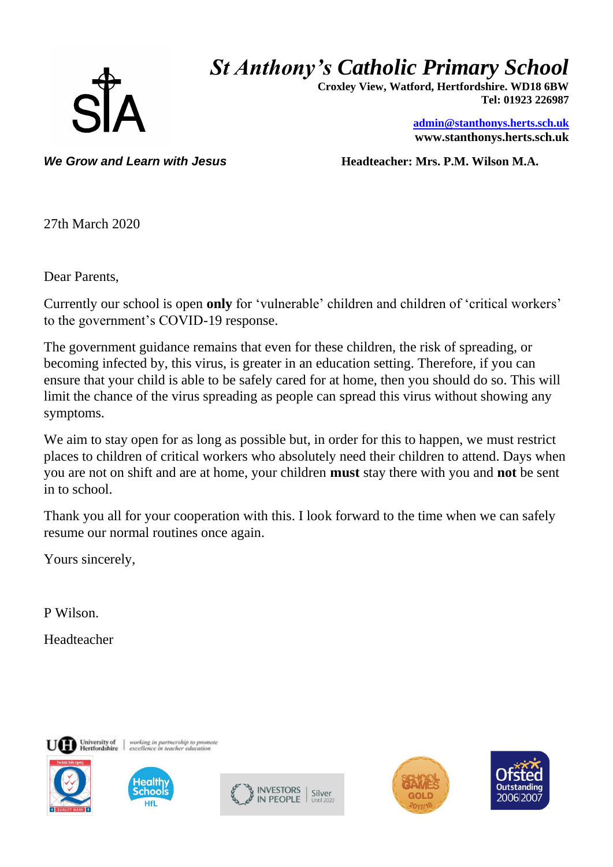

## *St Anthony's Catholic Primary School*

 **Croxley View, Watford, Hertfordshire. WD18 6BW Tel: 01923 226987** 

> **[admin@stanthonys.herts.sch.uk](mailto:admin.stanthonys@thegrid.org.uk) www.stanthonys.herts.sch.uk**

*We Grow and Learn with Jesus* **<b>***Headteacher: Mrs. P.M. Wilson M.A.* 

27th March 2020

Dear Parents,

Currently our school is open **only** for 'vulnerable' children and children of 'critical workers' to the government's COVID-19 response.

The government guidance remains that even for these children, the risk of spreading, or becoming infected by, this virus, is greater in an education setting. Therefore, if you can ensure that your child is able to be safely cared for at home, then you should do so. This will limit the chance of the virus spreading as people can spread this virus without showing any symptoms.

We aim to stay open for as long as possible but, in order for this to happen, we must restrict places to children of critical workers who absolutely need their children to attend. Days when you are not on shift and are at home, your children **must** stay there with you and **not** be sent in to school.

Thank you all for your cooperation with this. I look forward to the time when we can safely resume our normal routines once again.

Yours sincerely,

P Wilson.

Headteacher





working in partnership to pron<br>excellence in teacher educatio